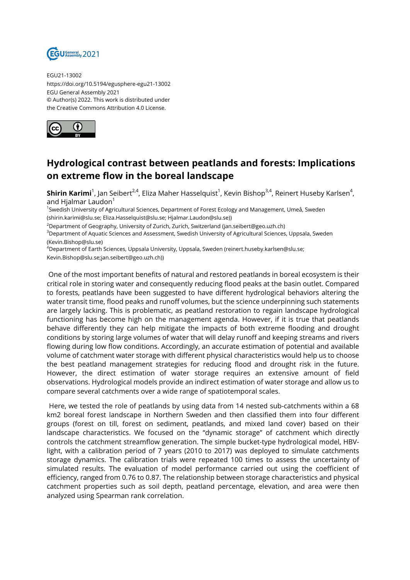

EGU21-13002 https://doi.org/10.5194/egusphere-egu21-13002 EGU General Assembly 2021 © Author(s) 2022. This work is distributed under the Creative Commons Attribution 4.0 License.



## **Hydrological contrast between peatlands and forests: Implications on extreme flow in the boreal landscape**

**Shirin Karimi**<sup>1</sup>, Jan Seibert<sup>2,4</sup>, Eliza Maher Hasselquist<sup>1</sup>, Kevin Bishop<sup>3,4</sup>, Reinert Huseby Karlsen<sup>4</sup>, and Hialmar Laudon $1$ 

1 Swedish University of Agricultural Sciences, Department of Forest Ecology and Management, Umeå, Sweden (shirin.karimi@slu.se; Eliza.Hasselquist@slu.se; Hjalmar.Laudon@slu.se))

 $2D$ epartment of Geography, University of Zurich, Zurich, Switzerland (jan.seibert@geo.uzh.ch)

<sup>3</sup>Department of Aquatic Sciences and Assessment, Swedish University of Agricultural Sciences, Uppsala, Sweden (Kevin.Bishop@slu.se)

<sup>4</sup>Department of Earth Sciences, Uppsala University, Uppsala, Sweden (reinert.huseby.karlsen@slu.se; Kevin.Bishop@slu.se;jan.seibert@geo.uzh.ch))

One of the most important benefits of natural and restored peatlands in boreal ecosystem is their critical role in storing water and consequently reducing flood peaks at the basin outlet. Compared to forests, peatlands have been suggested to have different hydrological behaviors altering the water transit time, flood peaks and runoff volumes, but the science underpinning such statements are largely lacking. This is problematic, as peatland restoration to regain landscape hydrological functioning has become high on the management agenda. However, if it is true that peatlands behave differently they can help mitigate the impacts of both extreme flooding and drought conditions by storing large volumes of water that will delay runoff and keeping streams and rivers flowing during low flow conditions. Accordingly, an accurate estimation of potential and available volume of catchment water storage with different physical characteristics would help us to choose the best peatland management strategies for reducing flood and drought risk in the future. However, the direct estimation of water storage requires an extensive amount of field observations. Hydrological models provide an indirect estimation of water storage and allow us to compare several catchments over a wide range of spatiotemporal scales.

Here, we tested the role of peatlands by using data from 14 nested sub-catchments within a 68 km2 boreal forest landscape in Northern Sweden and then classified them into four different groups (forest on till, forest on sediment, peatlands, and mixed land cover) based on their landscape characteristics. We focused on the "dynamic storage" of catchment which directly controls the catchment streamflow generation. The simple bucket-type hydrological model, HBVlight, with a calibration period of 7 years (2010 to 2017) was deployed to simulate catchments storage dynamics. The calibration trials were repeated 100 times to assess the uncertainty of simulated results. The evaluation of model performance carried out using the coefficient of efficiency, ranged from 0.76 to 0.87. The relationship between storage characteristics and physical catchment properties such as soil depth, peatland percentage, elevation, and area were then analyzed using Spearman rank correlation.